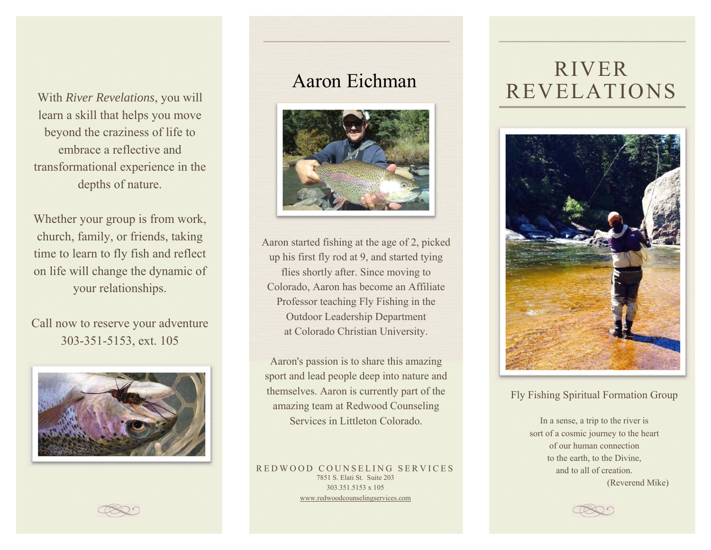With *River Revelations*learn a skill that helps you move beyond the craziness of life to embrace a reflective and transformational experience in the depths of nature.

Whether your group is from work, church, family, or friends, taking time to learn to fly fish and reflect on life will change the dynamic of your relationships.

Call now to reserve your adventure 303-351-5153, ext. 105



## Aaron Eichman



Aaron started fishing at the age of 2, picked up his first fly rod at 9, and started tying flies shortly after. Since moving to Colorado, Aaron has become an Affiliate Professor teaching Fly Fishing in the Outdoor Leadership Department at Colorado Christian University.

Aaron's passion is to share this amazing sport and lead people deep into nature and themselves. Aaron is currently part of the amazing team at Redwood Counseling Services in Littleton Colorado.

REDWOOD COUNSELING SERVICES 7851 S. Elati St. Suite 203 303.351.5153 x 105 www.redwoodcounselingservices.com

# RIVER **REVELATIONS**



### Fly Fishing Spiritual Formation Group

In a sense, a trip to the river is sort of a cosmic journey to the heart of our human connection to the earth, to the Divine, and to all of creation. (Reverend Mike)